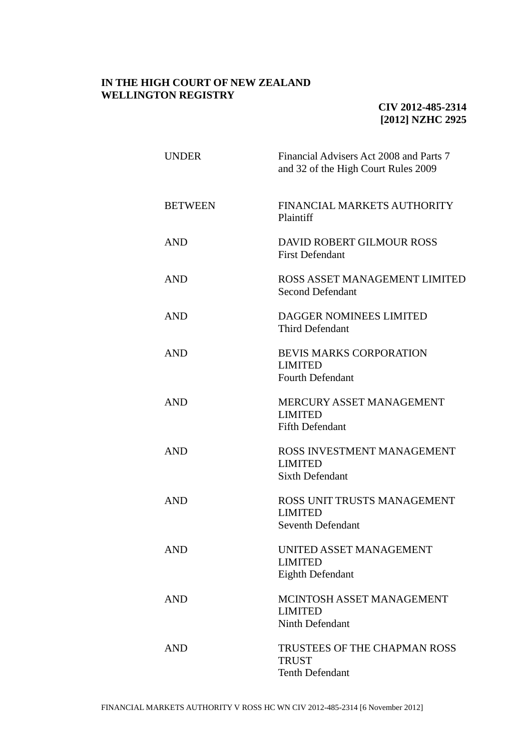## **IN THE HIGH COURT OF NEW ZEALAND WELLINGTON REGISTRY**

## **CIV 2012-485-2314 [2012] NZHC 2925**

| <b>UNDER</b>   | Financial Advisers Act 2008 and Parts 7<br>and 32 of the High Court Rules 2009 |
|----------------|--------------------------------------------------------------------------------|
| <b>BETWEEN</b> | FINANCIAL MARKETS AUTHORITY<br>Plaintiff                                       |
| <b>AND</b>     | DAVID ROBERT GILMOUR ROSS<br><b>First Defendant</b>                            |
| <b>AND</b>     | ROSS ASSET MANAGEMENT LIMITED<br><b>Second Defendant</b>                       |
| <b>AND</b>     | DAGGER NOMINEES LIMITED<br><b>Third Defendant</b>                              |
| <b>AND</b>     | BEVIS MARKS CORPORATION<br><b>LIMITED</b><br><b>Fourth Defendant</b>           |
| <b>AND</b>     | MERCURY ASSET MANAGEMENT<br><b>LIMITED</b><br><b>Fifth Defendant</b>           |
| <b>AND</b>     | ROSS INVESTMENT MANAGEMENT<br><b>LIMITED</b><br><b>Sixth Defendant</b>         |
| <b>AND</b>     | ROSS UNIT TRUSTS MANAGEMENT<br><b>LIMITED</b><br><b>Seventh Defendant</b>      |
| <b>AND</b>     | UNITED ASSET MANAGEMENT<br><b>LIMITED</b><br>Eighth Defendant                  |
| <b>AND</b>     | MCINTOSH ASSET MANAGEMENT<br><b>LIMITED</b><br>Ninth Defendant                 |
| <b>AND</b>     | <b>TRUSTEES OF THE CHAPMAN ROSS</b><br><b>TRUST</b><br><b>Tenth Defendant</b>  |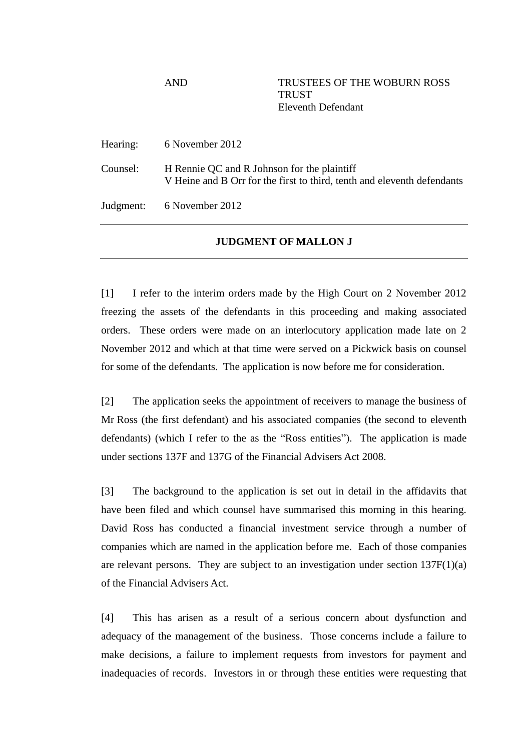AND TRUSTEES OF THE WOBURN ROSS **TRUST** Eleventh Defendant

Hearing: 6 November 2012

Counsel: H Rennie QC and R Johnson for the plaintiff V Heine and B Orr for the first to third, tenth and eleventh defendants

Judgment: 6 November 2012

## **JUDGMENT OF MALLON J**

[1] I refer to the interim orders made by the High Court on 2 November 2012 freezing the assets of the defendants in this proceeding and making associated orders. These orders were made on an interlocutory application made late on 2 November 2012 and which at that time were served on a Pickwick basis on counsel for some of the defendants. The application is now before me for consideration.

[2] The application seeks the appointment of receivers to manage the business of Mr Ross (the first defendant) and his associated companies (the second to eleventh defendants) (which I refer to the as the "Ross entities"). The application is made under sections 137F and 137G of the Financial Advisers Act 2008.

[3] The background to the application is set out in detail in the affidavits that have been filed and which counsel have summarised this morning in this hearing. David Ross has conducted a financial investment service through a number of companies which are named in the application before me. Each of those companies are relevant persons. They are subject to an investigation under section  $137F(1)(a)$ of the Financial Advisers Act.

[4] This has arisen as a result of a serious concern about dysfunction and adequacy of the management of the business. Those concerns include a failure to make decisions, a failure to implement requests from investors for payment and inadequacies of records. Investors in or through these entities were requesting that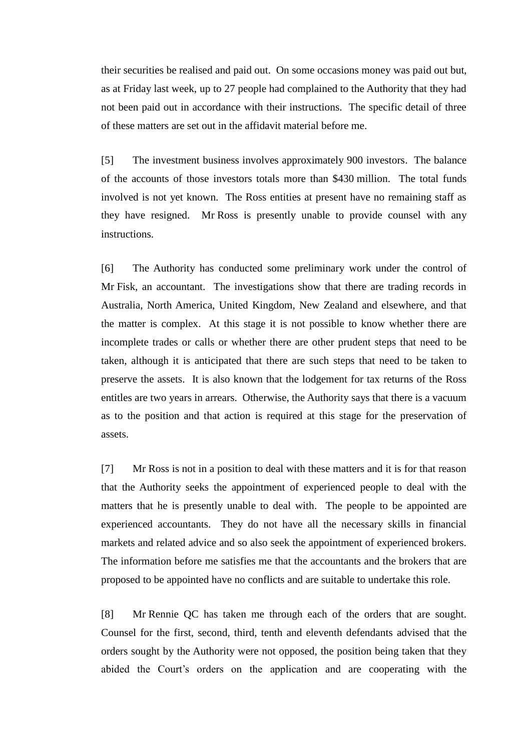their securities be realised and paid out. On some occasions money was paid out but, as at Friday last week, up to 27 people had complained to the Authority that they had not been paid out in accordance with their instructions. The specific detail of three of these matters are set out in the affidavit material before me.

[5] The investment business involves approximately 900 investors. The balance of the accounts of those investors totals more than \$430 million. The total funds involved is not yet known. The Ross entities at present have no remaining staff as they have resigned. Mr Ross is presently unable to provide counsel with any instructions.

[6] The Authority has conducted some preliminary work under the control of Mr Fisk, an accountant. The investigations show that there are trading records in Australia, North America, United Kingdom, New Zealand and elsewhere, and that the matter is complex. At this stage it is not possible to know whether there are incomplete trades or calls or whether there are other prudent steps that need to be taken, although it is anticipated that there are such steps that need to be taken to preserve the assets. It is also known that the lodgement for tax returns of the Ross entitles are two years in arrears. Otherwise, the Authority says that there is a vacuum as to the position and that action is required at this stage for the preservation of assets.

[7] Mr Ross is not in a position to deal with these matters and it is for that reason that the Authority seeks the appointment of experienced people to deal with the matters that he is presently unable to deal with. The people to be appointed are experienced accountants. They do not have all the necessary skills in financial markets and related advice and so also seek the appointment of experienced brokers. The information before me satisfies me that the accountants and the brokers that are proposed to be appointed have no conflicts and are suitable to undertake this role.

[8] Mr Rennie QC has taken me through each of the orders that are sought. Counsel for the first, second, third, tenth and eleventh defendants advised that the orders sought by the Authority were not opposed, the position being taken that they abided the Court's orders on the application and are cooperating with the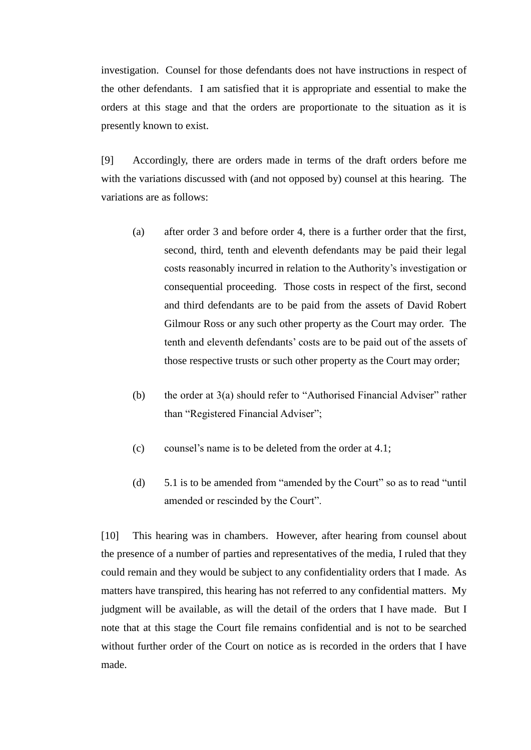investigation. Counsel for those defendants does not have instructions in respect of the other defendants. I am satisfied that it is appropriate and essential to make the orders at this stage and that the orders are proportionate to the situation as it is presently known to exist.

[9] Accordingly, there are orders made in terms of the draft orders before me with the variations discussed with (and not opposed by) counsel at this hearing. The variations are as follows:

- (a) after order 3 and before order 4, there is a further order that the first, second, third, tenth and eleventh defendants may be paid their legal costs reasonably incurred in relation to the Authority's investigation or consequential proceeding. Those costs in respect of the first, second and third defendants are to be paid from the assets of David Robert Gilmour Ross or any such other property as the Court may order. The tenth and eleventh defendants' costs are to be paid out of the assets of those respective trusts or such other property as the Court may order;
- (b) the order at  $3(a)$  should refer to "Authorised Financial Adviser" rather than "Registered Financial Adviser";
- (c) counsel's name is to be deleted from the order at 4.1;
- (d) 5.1 is to be amended from "amended by the Court" so as to read "until amended or rescinded by the Court".

[10] This hearing was in chambers. However, after hearing from counsel about the presence of a number of parties and representatives of the media, I ruled that they could remain and they would be subject to any confidentiality orders that I made. As matters have transpired, this hearing has not referred to any confidential matters. My judgment will be available, as will the detail of the orders that I have made. But I note that at this stage the Court file remains confidential and is not to be searched without further order of the Court on notice as is recorded in the orders that I have made.